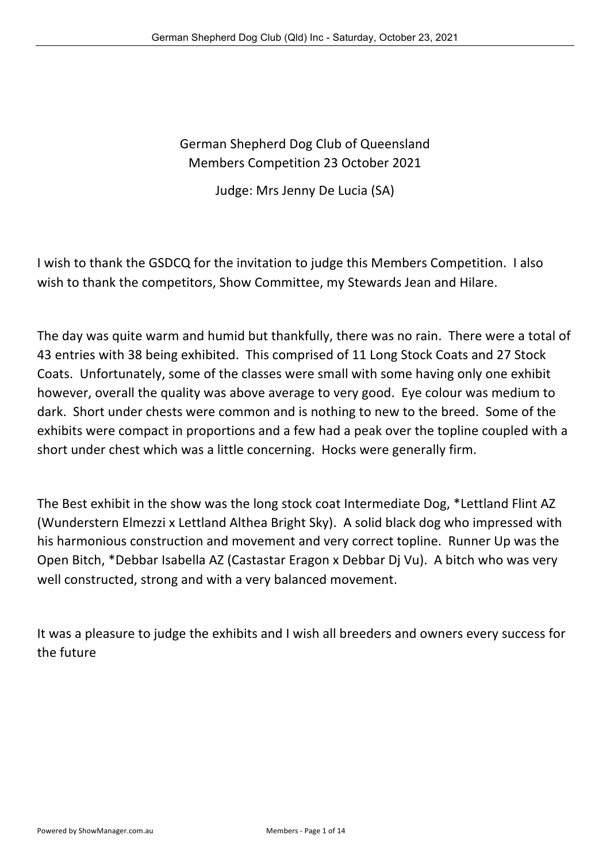German Shepherd Dog Club of Queensland Members Competition 23 October 2021

Judge: Mrs Jenny De Lucia (SA)

I wish to thank the GSDCQ for the invitation to judge this Members Competition. I also wish to thank the competitors, Show Committee, my Stewards Jean and Hilare.

The day was quite warm and humid but thankfully, there was no rain. There were a total of 43 entries with 38 being exhibited. This comprised of 11 Long Stock Coats and 27 Stock Coats. Unfortunately, some of the classes were small with some having only one exhibit however, overall the quality was above average to very good. Eye colour was medium to dark. Short under chests were common and is nothing to new to the breed. Some of the exhibits were compact in proportions and a few had a peak over the topline coupled with a short under chest which was a little concerning. Hocks were generally firm.

The Best exhibit in the show was the long stock coat Intermediate Dog, \*Lettland Flint AZ (Wunderstern Elmezzi x Lettland Althea Bright Sky). A solid black dog who impressed with his harmonious construction and movement and very correct topline. Runner Up was the Open Bitch, \*Debbar Isabella AZ (Castastar Eragon x Debbar Dj Vu). A bitch who was very well constructed, strong and with a very balanced movement.

It was a pleasure to judge the exhibits and I wish all breeders and owners every success for the future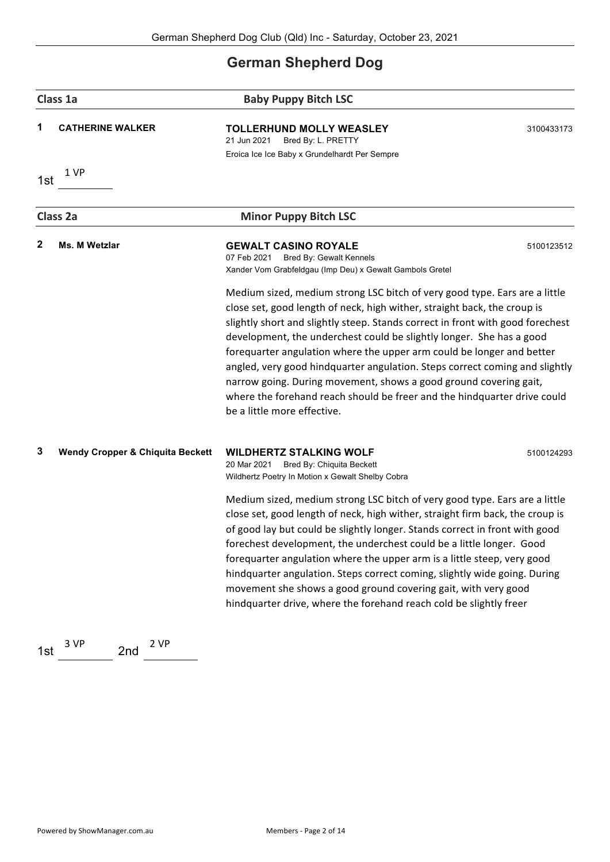## **German Shepherd Dog**

| Class 1a |                                             | <b>Baby Puppy Bitch LSC</b>                                                                                                                                                                                                                                                                                                                                                                                                                                                                                                                                                                                                                              |            |  |
|----------|---------------------------------------------|----------------------------------------------------------------------------------------------------------------------------------------------------------------------------------------------------------------------------------------------------------------------------------------------------------------------------------------------------------------------------------------------------------------------------------------------------------------------------------------------------------------------------------------------------------------------------------------------------------------------------------------------------------|------------|--|
|          | <b>CATHERINE WALKER</b>                     | <b>TOLLERHUND MOLLY WEASLEY</b><br>21 Jun 2021<br>Bred By: L. PRETTY<br>Eroica Ice Ice Baby x Grundelhardt Per Sempre                                                                                                                                                                                                                                                                                                                                                                                                                                                                                                                                    | 3100433173 |  |
| 1st      | 1 VP                                        |                                                                                                                                                                                                                                                                                                                                                                                                                                                                                                                                                                                                                                                          |            |  |
|          | Class 2a                                    | <b>Minor Puppy Bitch LSC</b>                                                                                                                                                                                                                                                                                                                                                                                                                                                                                                                                                                                                                             |            |  |
| 2        | Ms. M Wetzlar                               | <b>GEWALT CASINO ROYALE</b><br>07 Feb 2021<br>Bred By: Gewalt Kennels<br>Xander Vom Grabfeldgau (Imp Deu) x Gewalt Gambols Gretel                                                                                                                                                                                                                                                                                                                                                                                                                                                                                                                        | 5100123512 |  |
|          |                                             | Medium sized, medium strong LSC bitch of very good type. Ears are a little<br>close set, good length of neck, high wither, straight back, the croup is<br>slightly short and slightly steep. Stands correct in front with good forechest<br>development, the underchest could be slightly longer. She has a good<br>forequarter angulation where the upper arm could be longer and better<br>angled, very good hindquarter angulation. Steps correct coming and slightly<br>narrow going. During movement, shows a good ground covering gait,<br>where the forehand reach should be freer and the hindquarter drive could<br>be a little more effective. |            |  |
| 3        | <b>Wendy Cropper &amp; Chiquita Beckett</b> | <b>WILDHERTZ STALKING WOLF</b><br>20 Mar 2021<br>Bred By: Chiquita Beckett<br>Wildhertz Poetry In Motion x Gewalt Shelby Cobra                                                                                                                                                                                                                                                                                                                                                                                                                                                                                                                           | 5100124293 |  |
|          |                                             | Medium sized, medium strong LSC bitch of very good type. Ears are a little<br>close set, good length of neck, high wither, straight firm back, the croup is<br>of good lay but could be slightly longer. Stands correct in front with good<br>forechest development, the underchest could be a little longer. Good<br>forequarter angulation where the upper arm is a little steep, very good<br>hindquarter angulation. Steps correct coming, slightly wide going. During<br>movement she shows a good ground covering gait, with very good<br>hindquarter drive, where the forehand reach cold be slightly freer                                       |            |  |
| 1st      | 2 VP<br>3 VP<br>2nd                         |                                                                                                                                                                                                                                                                                                                                                                                                                                                                                                                                                                                                                                                          |            |  |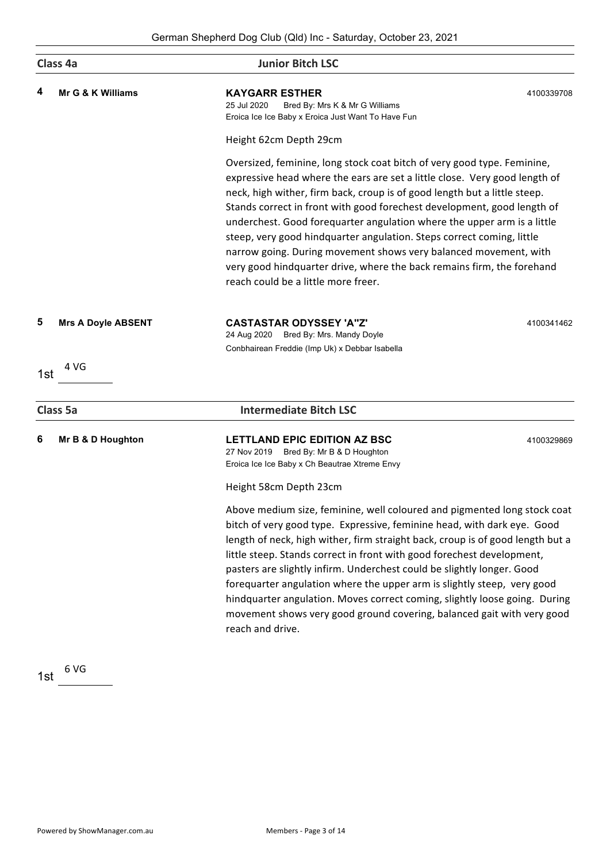|     | Class 4a                  | <b>Junior Bitch LSC</b>                                                                                                                                                                                                                                                                                                                                                                                                                                                                                                                                                                                                                                |            |
|-----|---------------------------|--------------------------------------------------------------------------------------------------------------------------------------------------------------------------------------------------------------------------------------------------------------------------------------------------------------------------------------------------------------------------------------------------------------------------------------------------------------------------------------------------------------------------------------------------------------------------------------------------------------------------------------------------------|------------|
| 4   | Mr G & K Williams         | <b>KAYGARR ESTHER</b><br>25 Jul 2020<br>Bred By: Mrs K & Mr G Williams<br>Eroica Ice Ice Baby x Eroica Just Want To Have Fun                                                                                                                                                                                                                                                                                                                                                                                                                                                                                                                           | 4100339708 |
|     |                           | Height 62cm Depth 29cm                                                                                                                                                                                                                                                                                                                                                                                                                                                                                                                                                                                                                                 |            |
|     |                           | Oversized, feminine, long stock coat bitch of very good type. Feminine,<br>expressive head where the ears are set a little close. Very good length of<br>neck, high wither, firm back, croup is of good length but a little steep.<br>Stands correct in front with good forechest development, good length of<br>underchest. Good forequarter angulation where the upper arm is a little<br>steep, very good hindquarter angulation. Steps correct coming, little<br>narrow going. During movement shows very balanced movement, with<br>very good hindquarter drive, where the back remains firm, the forehand<br>reach could be a little more freer. |            |
| 5   | <b>Mrs A Doyle ABSENT</b> | <b>CASTASTAR ODYSSEY 'A"Z'</b><br>24 Aug 2020 Bred By: Mrs. Mandy Doyle<br>Conbhairean Freddie (Imp Uk) x Debbar Isabella                                                                                                                                                                                                                                                                                                                                                                                                                                                                                                                              | 4100341462 |
| 1st | 4 VG                      |                                                                                                                                                                                                                                                                                                                                                                                                                                                                                                                                                                                                                                                        |            |
|     | Class 5a                  | <b>Intermediate Bitch LSC</b>                                                                                                                                                                                                                                                                                                                                                                                                                                                                                                                                                                                                                          |            |
| 6   | Mr B & D Houghton         | <b>LETTLAND EPIC EDITION AZ BSC</b><br>27 Nov 2019 Bred By: Mr B & D Houghton<br>Eroica Ice Ice Baby x Ch Beautrae Xtreme Envy                                                                                                                                                                                                                                                                                                                                                                                                                                                                                                                         | 4100329869 |
|     |                           | Height 58cm Depth 23cm                                                                                                                                                                                                                                                                                                                                                                                                                                                                                                                                                                                                                                 |            |
|     |                           | Above medium size, feminine, well coloured and pigmented long stock coat<br>bitch of very good type. Expressive, feminine head, with dark eye. Good<br>length of neck, high wither, firm straight back, croup is of good length but a<br>little steep. Stands correct in front with good forechest development,<br>pasters are slightly infirm. Underchest could be slightly longer. Good<br>forequarter angulation where the upper arm is slightly steep, very good<br>hindquarter angulation. Moves correct coming, slightly loose going. During<br>movement shows very good ground covering, balanced gait with very good<br>reach and drive.       |            |

1st  $6\,\mathrm{VG}$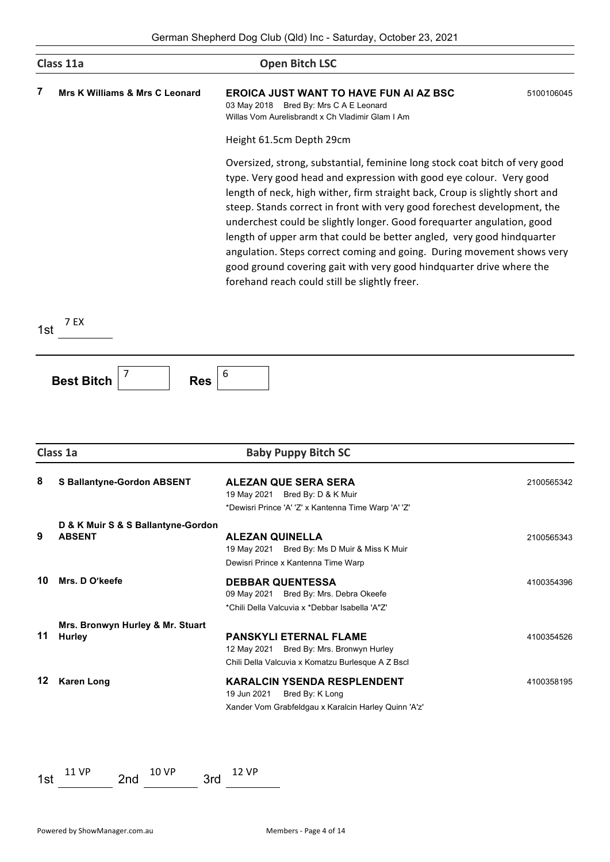|     | Class 11a                                           | <b>Open Bitch LSC</b>                                                                                                                                                                                                                                                                                                                                                                                                                                                                                                                                                                                                                                                 |            |
|-----|-----------------------------------------------------|-----------------------------------------------------------------------------------------------------------------------------------------------------------------------------------------------------------------------------------------------------------------------------------------------------------------------------------------------------------------------------------------------------------------------------------------------------------------------------------------------------------------------------------------------------------------------------------------------------------------------------------------------------------------------|------------|
| 7   | <b>Mrs K Williams &amp; Mrs C Leonard</b>           | <b>EROICA JUST WANT TO HAVE FUN AI AZ BSC</b><br>03 May 2018 Bred By: Mrs C A E Leonard<br>Willas Vom Aurelisbrandt x Ch Vladimir Glam I Am                                                                                                                                                                                                                                                                                                                                                                                                                                                                                                                           | 5100106045 |
|     |                                                     | Height 61.5cm Depth 29cm                                                                                                                                                                                                                                                                                                                                                                                                                                                                                                                                                                                                                                              |            |
|     |                                                     | Oversized, strong, substantial, feminine long stock coat bitch of very good<br>type. Very good head and expression with good eye colour. Very good<br>length of neck, high wither, firm straight back, Croup is slightly short and<br>steep. Stands correct in front with very good forechest development, the<br>underchest could be slightly longer. Good forequarter angulation, good<br>length of upper arm that could be better angled, very good hindquarter<br>angulation. Steps correct coming and going. During movement shows very<br>good ground covering gait with very good hindquarter drive where the<br>forehand reach could still be slightly freer. |            |
| 1st | 7 EX                                                |                                                                                                                                                                                                                                                                                                                                                                                                                                                                                                                                                                                                                                                                       |            |
|     | <b>Best Bitch</b><br><b>Res</b><br>Class 1a         | <b>Baby Puppy Bitch SC</b>                                                                                                                                                                                                                                                                                                                                                                                                                                                                                                                                                                                                                                            |            |
| 8   | <b>S Ballantyne-Gordon ABSENT</b>                   | <b>ALEZAN QUE SERA SERA</b><br>19 May 2021<br>Bred By: D & K Muir<br>*Dewisri Prince 'A' 'Z' x Kantenna Time Warp 'A' 'Z'                                                                                                                                                                                                                                                                                                                                                                                                                                                                                                                                             | 2100565342 |
| 9   | D & K Muir S & S Ballantyne-Gordon<br><b>ABSENT</b> | <b>ALEZAN QUINELLA</b><br>19 May 2021 Bred By: Ms D Muir & Miss K Muir<br>Dewisri Prince x Kantenna Time Warp                                                                                                                                                                                                                                                                                                                                                                                                                                                                                                                                                         | 2100565343 |
| 10  | Mrs. D O'keefe                                      | <b>DEBBAR QUENTESSA</b><br>09 May 2021 Bred By: Mrs. Debra Okeefe<br>*Chili Della Valcuvia x *Debbar Isabella 'A"Z'                                                                                                                                                                                                                                                                                                                                                                                                                                                                                                                                                   | 4100354396 |
| 11  | Mrs. Bronwyn Hurley & Mr. Stuart<br><b>Hurley</b>   | <b>PANSKYLI ETERNAL FLAME</b><br>12 May 2021 Bred By: Mrs. Bronwyn Hurley<br>Chili Della Valcuvia x Komatzu Burlesque A Z Bscl                                                                                                                                                                                                                                                                                                                                                                                                                                                                                                                                        | 4100354526 |
| 12  | <b>Karen Long</b>                                   | <b>KARALCIN YSENDA RESPLENDENT</b><br>19 Jun 2021<br>Bred By: K Long<br>Xander Vom Grabfeldgau x Karalcin Harley Quinn 'A'z'                                                                                                                                                                                                                                                                                                                                                                                                                                                                                                                                          | 4100358195 |
|     |                                                     |                                                                                                                                                                                                                                                                                                                                                                                                                                                                                                                                                                                                                                                                       |            |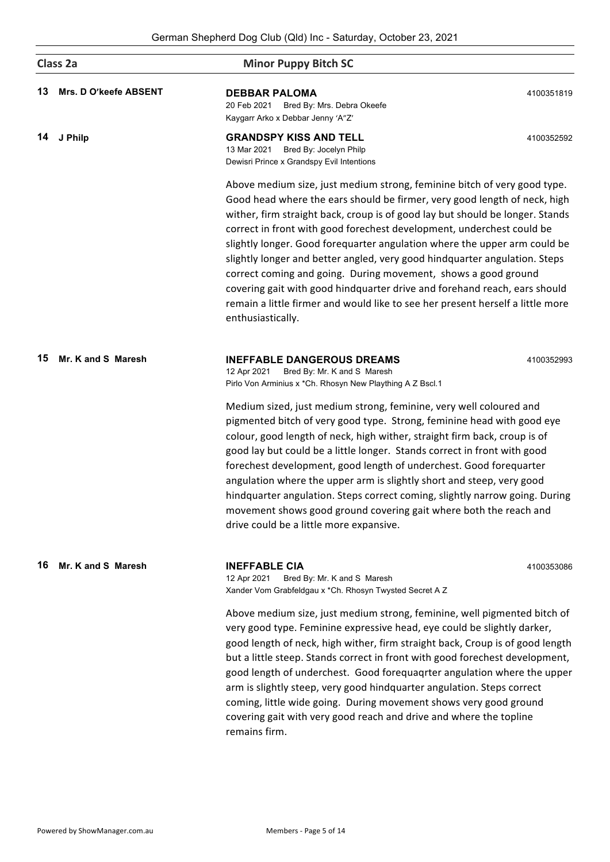|    | Class 2a              | <b>Minor Puppy Bitch SC</b>                                                                                                                                                                                                                                                                                                                                                                                                                                                                                                                                                                                                                                                                                                      |            |  |  |
|----|-----------------------|----------------------------------------------------------------------------------------------------------------------------------------------------------------------------------------------------------------------------------------------------------------------------------------------------------------------------------------------------------------------------------------------------------------------------------------------------------------------------------------------------------------------------------------------------------------------------------------------------------------------------------------------------------------------------------------------------------------------------------|------------|--|--|
| 13 | Mrs. D O'keefe ABSENT | <b>DEBBAR PALOMA</b><br>20 Feb 2021<br>Bred By: Mrs. Debra Okeefe<br>Kaygarr Arko x Debbar Jenny 'A"Z'                                                                                                                                                                                                                                                                                                                                                                                                                                                                                                                                                                                                                           | 4100351819 |  |  |
| 14 | J Philp               | <b>GRANDSPY KISS AND TELL</b><br>13 Mar 2021<br>Bred By: Jocelyn Philp<br>Dewisri Prince x Grandspy Evil Intentions                                                                                                                                                                                                                                                                                                                                                                                                                                                                                                                                                                                                              | 4100352592 |  |  |
|    |                       | Above medium size, just medium strong, feminine bitch of very good type.<br>Good head where the ears should be firmer, very good length of neck, high<br>wither, firm straight back, croup is of good lay but should be longer. Stands<br>correct in front with good forechest development, underchest could be<br>slightly longer. Good forequarter angulation where the upper arm could be<br>slightly longer and better angled, very good hindquarter angulation. Steps<br>correct coming and going. During movement, shows a good ground<br>covering gait with good hindquarter drive and forehand reach, ears should<br>remain a little firmer and would like to see her present herself a little more<br>enthusiastically. |            |  |  |
| 15 | Mr. K and S Maresh    | <b>INEFFABLE DANGEROUS DREAMS</b><br>12 Apr 2021<br>Bred By: Mr. K and S Maresh<br>Pirlo Von Arminius x *Ch. Rhosyn New Plaything A Z Bscl.1                                                                                                                                                                                                                                                                                                                                                                                                                                                                                                                                                                                     | 4100352993 |  |  |
|    |                       | Medium sized, just medium strong, feminine, very well coloured and<br>pigmented bitch of very good type. Strong, feminine head with good eye<br>colour, good length of neck, high wither, straight firm back, croup is of<br>good lay but could be a little longer. Stands correct in front with good<br>forechest development, good length of underchest. Good forequarter<br>angulation where the upper arm is slightly short and steep, very good<br>hindquarter angulation. Steps correct coming, slightly narrow going. During<br>movement shows good ground covering gait where both the reach and<br>drive could be a little more expansive.                                                                              |            |  |  |
| 16 | Mr. K and S Maresh    | <b>INEFFABLE CIA</b><br>Bred By: Mr. K and S Maresh<br>12 Apr 2021<br>Xander Vom Grabfeldgau x *Ch. Rhosyn Twysted Secret A Z                                                                                                                                                                                                                                                                                                                                                                                                                                                                                                                                                                                                    | 4100353086 |  |  |
|    |                       | Above medium size, just medium strong, feminine, well pigmented bitch of<br>very good type. Feminine expressive head, eye could be slightly darker,<br>good length of neck, high wither, firm straight back, Croup is of good length<br>but a little steep. Stands correct in front with good forechest development,<br>good length of underchest. Good forequagrter angulation where the upper<br>arm is slightly steep, very good hindquarter angulation. Steps correct<br>coming, little wide going. During movement shows very good ground<br>covering gait with very good reach and drive and where the topline                                                                                                             |            |  |  |

remains firm.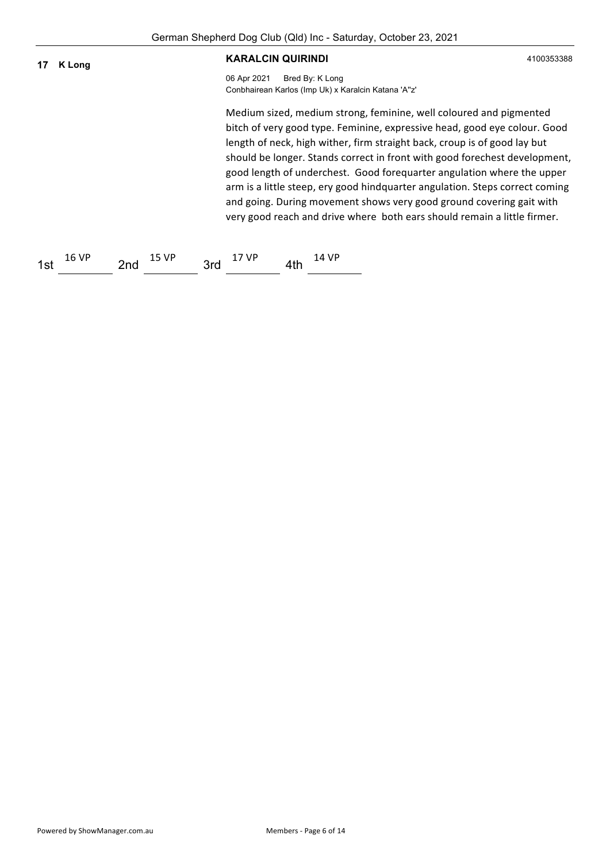| 17  | K Long |     |       |     | <b>KARALCIN QUIRINDI</b> |     |                                                                        |                                                                                                                                                                                                                                                                                                                                                                                                                                                                                                                                                                                                                          | 4100353388 |
|-----|--------|-----|-------|-----|--------------------------|-----|------------------------------------------------------------------------|--------------------------------------------------------------------------------------------------------------------------------------------------------------------------------------------------------------------------------------------------------------------------------------------------------------------------------------------------------------------------------------------------------------------------------------------------------------------------------------------------------------------------------------------------------------------------------------------------------------------------|------------|
|     |        |     |       |     | 06 Apr 2021              |     | Bred By: K Long<br>Conbhairean Karlos (Imp Uk) x Karalcin Katana 'A"z' |                                                                                                                                                                                                                                                                                                                                                                                                                                                                                                                                                                                                                          |            |
|     |        |     |       |     |                          |     |                                                                        | Medium sized, medium strong, feminine, well coloured and pigmented<br>bitch of very good type. Feminine, expressive head, good eye colour. Good<br>length of neck, high wither, firm straight back, croup is of good lay but<br>should be longer. Stands correct in front with good forechest development,<br>good length of underchest. Good forequarter angulation where the upper<br>arm is a little steep, ery good hindquarter angulation. Steps correct coming<br>and going. During movement shows very good ground covering gait with<br>very good reach and drive where both ears should remain a little firmer. |            |
| 1st | 16 VP  | 2nd | 15 VP | 3rd | 17 VP                    | 4th | 14 VP                                                                  |                                                                                                                                                                                                                                                                                                                                                                                                                                                                                                                                                                                                                          |            |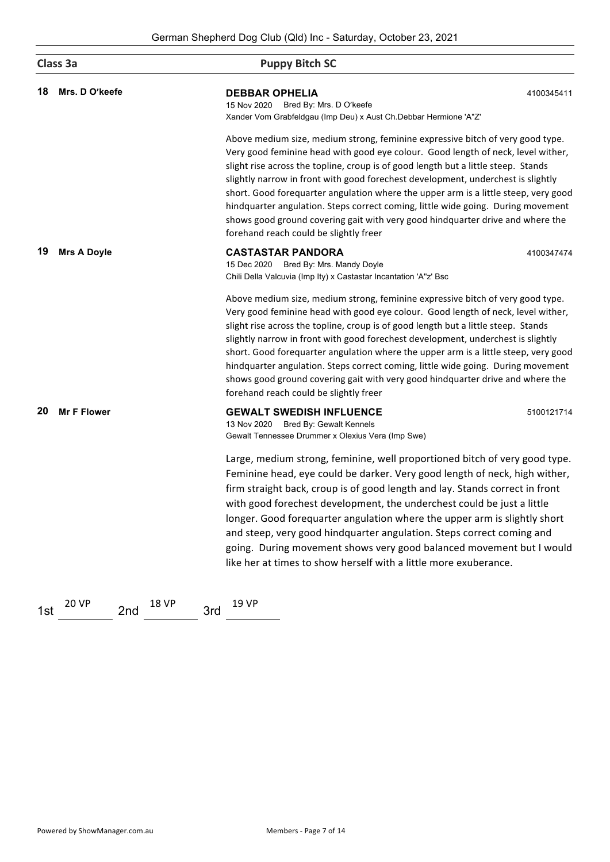|    | Class 3a           | <b>Puppy Bitch SC</b>                                                                                                                                                                                                                                                                                                                                                                                                                                                                                                                                                                                                                               |  |  |  |
|----|--------------------|-----------------------------------------------------------------------------------------------------------------------------------------------------------------------------------------------------------------------------------------------------------------------------------------------------------------------------------------------------------------------------------------------------------------------------------------------------------------------------------------------------------------------------------------------------------------------------------------------------------------------------------------------------|--|--|--|
| 18 | Mrs. D O'keefe     | <b>DEBBAR OPHELIA</b><br>4100345411<br>Bred By: Mrs. D O'keefe<br>15 Nov 2020<br>Xander Vom Grabfeldgau (Imp Deu) x Aust Ch.Debbar Hermione 'A"Z'                                                                                                                                                                                                                                                                                                                                                                                                                                                                                                   |  |  |  |
|    |                    | Above medium size, medium strong, feminine expressive bitch of very good type.<br>Very good feminine head with good eye colour. Good length of neck, level wither,<br>slight rise across the topline, croup is of good length but a little steep. Stands<br>slightly narrow in front with good forechest development, underchest is slightly<br>short. Good forequarter angulation where the upper arm is a little steep, very good<br>hindquarter angulation. Steps correct coming, little wide going. During movement<br>shows good ground covering gait with very good hindquarter drive and where the<br>forehand reach could be slightly freer |  |  |  |
| 19 | <b>Mrs A Doyle</b> | <b>CASTASTAR PANDORA</b><br>4100347474<br>15 Dec 2020 Bred By: Mrs. Mandy Doyle<br>Chili Della Valcuvia (Imp Ity) x Castastar Incantation 'A"z' Bsc                                                                                                                                                                                                                                                                                                                                                                                                                                                                                                 |  |  |  |
|    |                    | Above medium size, medium strong, feminine expressive bitch of very good type.<br>Very good feminine head with good eye colour. Good length of neck, level wither,<br>slight rise across the topline, croup is of good length but a little steep. Stands<br>slightly narrow in front with good forechest development, underchest is slightly<br>short. Good forequarter angulation where the upper arm is a little steep, very good<br>hindquarter angulation. Steps correct coming, little wide going. During movement<br>shows good ground covering gait with very good hindquarter drive and where the<br>forehand reach could be slightly freer |  |  |  |
| 20 | <b>Mr F Flower</b> | <b>GEWALT SWEDISH INFLUENCE</b><br>5100121714<br>13 Nov 2020 Bred By: Gewalt Kennels<br>Gewalt Tennessee Drummer x Olexius Vera (Imp Swe)                                                                                                                                                                                                                                                                                                                                                                                                                                                                                                           |  |  |  |
|    |                    | Large, medium strong, feminine, well proportioned bitch of very good type.<br>Feminine head, eye could be darker. Very good length of neck, high wither,<br>firm straight back, croup is of good length and lay. Stands correct in front<br>with good forechest development, the underchest could be just a little<br>longer. Good forequarter angulation where the upper arm is slightly short<br>and steep, very good hindquarter angulation. Steps correct coming and<br>going. During movement shows very good balanced movement but I would<br>like her at times to show herself with a little more exuberance.                                |  |  |  |

1st  $\frac{20 \text{ VP}}{201}$  2nd  $\frac{18 \text{ VP}}{201}$  3rd  $\frac{19 \text{ VP}}{201}$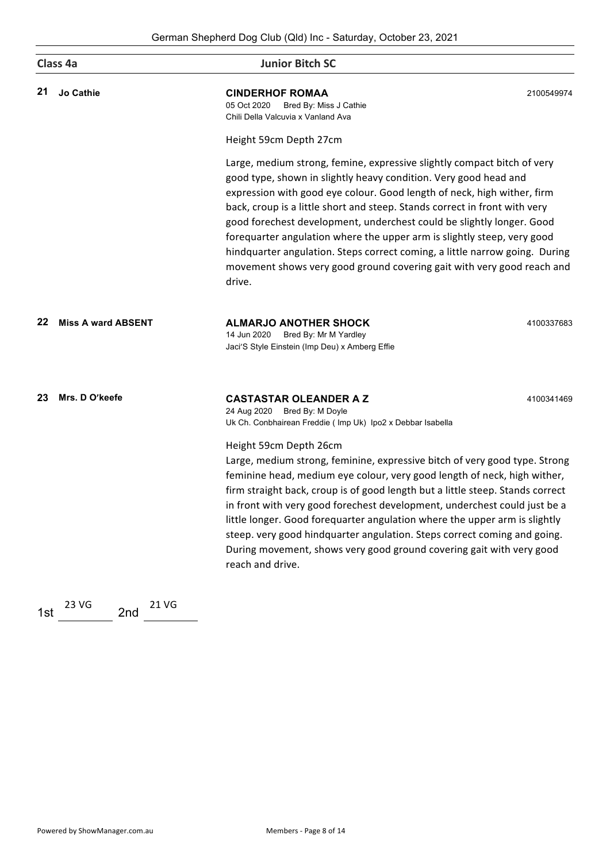|    | Class 4a                  | <b>Junior Bitch SC</b>                                                                                                                                                                                                                                                                                                                                                                                                                                                                                                                                                                                                      |            |  |  |
|----|---------------------------|-----------------------------------------------------------------------------------------------------------------------------------------------------------------------------------------------------------------------------------------------------------------------------------------------------------------------------------------------------------------------------------------------------------------------------------------------------------------------------------------------------------------------------------------------------------------------------------------------------------------------------|------------|--|--|
| 21 | <b>Jo Cathie</b>          | <b>CINDERHOF ROMAA</b><br>05 Oct 2020<br>Bred By: Miss J Cathie<br>Chili Della Valcuvia x Vanland Ava                                                                                                                                                                                                                                                                                                                                                                                                                                                                                                                       | 2100549974 |  |  |
|    |                           | Height 59cm Depth 27cm                                                                                                                                                                                                                                                                                                                                                                                                                                                                                                                                                                                                      |            |  |  |
|    |                           | Large, medium strong, femine, expressive slightly compact bitch of very<br>good type, shown in slightly heavy condition. Very good head and<br>expression with good eye colour. Good length of neck, high wither, firm<br>back, croup is a little short and steep. Stands correct in front with very<br>good forechest development, underchest could be slightly longer. Good<br>forequarter angulation where the upper arm is slightly steep, very good<br>hindquarter angulation. Steps correct coming, a little narrow going. During<br>movement shows very good ground covering gait with very good reach and<br>drive. |            |  |  |
| 22 | <b>Miss A ward ABSENT</b> | <b>ALMARJO ANOTHER SHOCK</b><br>14 Jun 2020<br>Bred By: Mr M Yardley<br>Jaci'S Style Einstein (Imp Deu) x Amberg Effie                                                                                                                                                                                                                                                                                                                                                                                                                                                                                                      | 4100337683 |  |  |
| 23 | Mrs. D O'keefe            | <b>CASTASTAR OLEANDER A Z</b><br>24 Aug 2020 Bred By: M Doyle<br>Uk Ch. Conbhairean Freddie (Imp Uk) Ipo2 x Debbar Isabella                                                                                                                                                                                                                                                                                                                                                                                                                                                                                                 | 4100341469 |  |  |
|    |                           | Height 59cm Depth 26cm<br>Large, medium strong, feminine, expressive bitch of very good type. Strong<br>feminine head, medium eye colour, very good length of neck, high wither,<br>firm straight back, croup is of good length but a little steep. Stands correct<br>in front with very good forechest development, underchest could just be a<br>little longer. Good forequarter angulation where the upper arm is slightly<br>steep. very good hindquarter angulation. Steps correct coming and going.<br>During movement, shows very good ground covering gait with very good<br>reach and drive.                       |            |  |  |

1st  $\frac{23\text{ VG}}{201}$  2nd  $\frac{21\text{ VG}}{201}$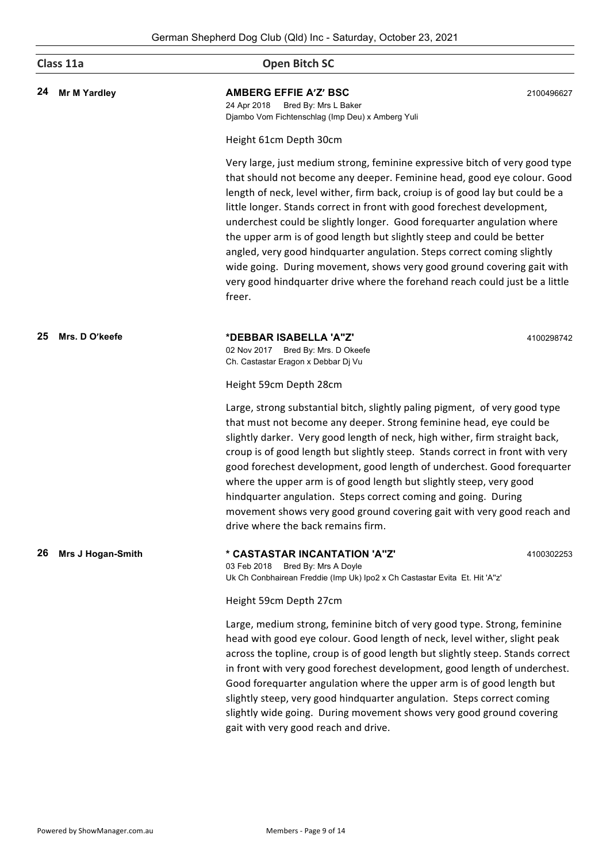|    | Class 11a           | <b>Open Bitch SC</b>                                                                                                                                                                                                                                                                                                                                                                                                                                                                                                                                                                                                                                                                                                 |            |  |  |
|----|---------------------|----------------------------------------------------------------------------------------------------------------------------------------------------------------------------------------------------------------------------------------------------------------------------------------------------------------------------------------------------------------------------------------------------------------------------------------------------------------------------------------------------------------------------------------------------------------------------------------------------------------------------------------------------------------------------------------------------------------------|------------|--|--|
| 24 | <b>Mr M Yardley</b> | <b>AMBERG EFFIE A'Z' BSC</b><br>24 Apr 2018<br>Bred By: Mrs L Baker<br>Djambo Vom Fichtenschlag (Imp Deu) x Amberg Yuli                                                                                                                                                                                                                                                                                                                                                                                                                                                                                                                                                                                              | 2100496627 |  |  |
|    |                     | Height 61cm Depth 30cm                                                                                                                                                                                                                                                                                                                                                                                                                                                                                                                                                                                                                                                                                               |            |  |  |
|    |                     | Very large, just medium strong, feminine expressive bitch of very good type<br>that should not become any deeper. Feminine head, good eye colour. Good<br>length of neck, level wither, firm back, croiup is of good lay but could be a<br>little longer. Stands correct in front with good forechest development,<br>underchest could be slightly longer. Good forequarter angulation where<br>the upper arm is of good length but slightly steep and could be better<br>angled, very good hindquarter angulation. Steps correct coming slightly<br>wide going. During movement, shows very good ground covering gait with<br>very good hindquarter drive where the forehand reach could just be a little<br>freer. |            |  |  |
| 25 | Mrs. D O'keefe      | *DEBBAR ISABELLA 'A"Z'<br>02 Nov 2017 Bred By: Mrs. D Okeefe<br>Ch. Castastar Eragon x Debbar Dj Vu                                                                                                                                                                                                                                                                                                                                                                                                                                                                                                                                                                                                                  | 4100298742 |  |  |
|    |                     | Height 59cm Depth 28cm                                                                                                                                                                                                                                                                                                                                                                                                                                                                                                                                                                                                                                                                                               |            |  |  |
|    |                     | Large, strong substantial bitch, slightly paling pigment, of very good type<br>that must not become any deeper. Strong feminine head, eye could be<br>slightly darker. Very good length of neck, high wither, firm straight back,<br>croup is of good length but slightly steep. Stands correct in front with very<br>good forechest development, good length of underchest. Good forequarter<br>where the upper arm is of good length but slightly steep, very good<br>hindquarter angulation. Steps correct coming and going. During<br>movement shows very good ground covering gait with very good reach and<br>drive where the back remains firm.                                                               |            |  |  |
| 26 | Mrs J Hogan-Smith   | * CASTASTAR INCANTATION 'A"Z"<br>03 Feb 2018<br>Bred By: Mrs A Doyle<br>Uk Ch Conbhairean Freddie (Imp Uk) Ipo2 x Ch Castastar Evita Et. Hit 'A"z'                                                                                                                                                                                                                                                                                                                                                                                                                                                                                                                                                                   | 4100302253 |  |  |
|    |                     | Height 59cm Depth 27cm                                                                                                                                                                                                                                                                                                                                                                                                                                                                                                                                                                                                                                                                                               |            |  |  |
|    |                     | Large, medium strong, feminine bitch of very good type. Strong, feminine<br>head with good eye colour. Good length of neck, level wither, slight peak<br>across the topline, croup is of good length but slightly steep. Stands correct<br>in front with very good forechest development, good length of underchest.<br>Good forequarter angulation where the upper arm is of good length but<br>slightly steep, very good hindquarter angulation. Steps correct coming<br>slightly wide going. During movement shows very good ground covering<br>gait with very good reach and drive.                                                                                                                              |            |  |  |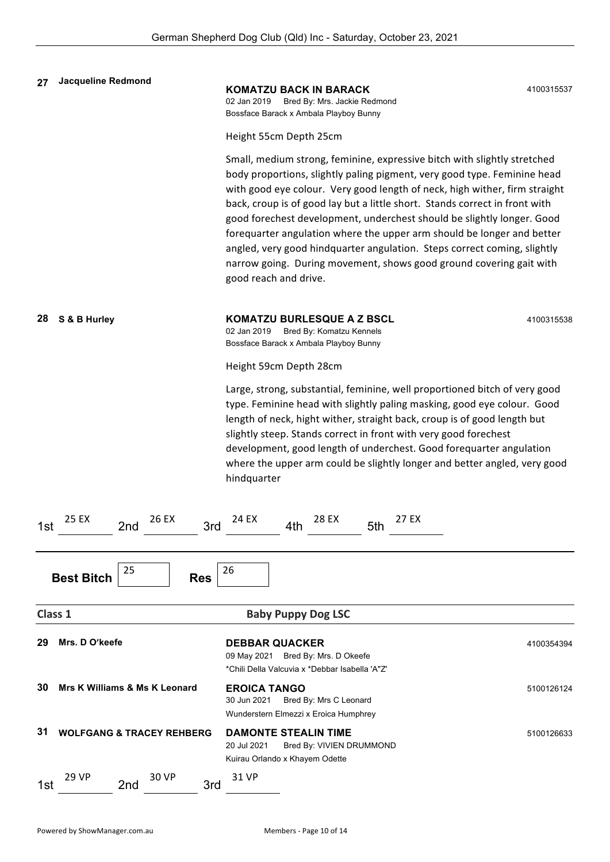| 27      | Jacqueline Redmond                       | <b>KOMATZU BACK IN BARACK</b><br>Bred By: Mrs. Jackie Redmond<br>02 Jan 2019<br>Bossface Barack x Ambala Playboy Bunny                                                                                                                                                                                                                                                                                                                                                                                                                                                                                                                            | 4100315537 |
|---------|------------------------------------------|---------------------------------------------------------------------------------------------------------------------------------------------------------------------------------------------------------------------------------------------------------------------------------------------------------------------------------------------------------------------------------------------------------------------------------------------------------------------------------------------------------------------------------------------------------------------------------------------------------------------------------------------------|------------|
|         |                                          | Height 55cm Depth 25cm                                                                                                                                                                                                                                                                                                                                                                                                                                                                                                                                                                                                                            |            |
|         |                                          | Small, medium strong, feminine, expressive bitch with slightly stretched<br>body proportions, slightly paling pigment, very good type. Feminine head<br>with good eye colour. Very good length of neck, high wither, firm straight<br>back, croup is of good lay but a little short. Stands correct in front with<br>good forechest development, underchest should be slightly longer. Good<br>forequarter angulation where the upper arm should be longer and better<br>angled, very good hindquarter angulation. Steps correct coming, slightly<br>narrow going. During movement, shows good ground covering gait with<br>good reach and drive. |            |
| 28      | S & B Hurley                             | <b>KOMATZU BURLESQUE A Z BSCL</b><br>02 Jan 2019<br>Bred By: Komatzu Kennels<br>Bossface Barack x Ambala Playboy Bunny                                                                                                                                                                                                                                                                                                                                                                                                                                                                                                                            | 4100315538 |
|         |                                          | Height 59cm Depth 28cm                                                                                                                                                                                                                                                                                                                                                                                                                                                                                                                                                                                                                            |            |
|         |                                          | Large, strong, substantial, feminine, well proportioned bitch of very good<br>type. Feminine head with slightly paling masking, good eye colour. Good<br>length of neck, hight wither, straight back, croup is of good length but<br>slightly steep. Stands correct in front with very good forechest<br>development, good length of underchest. Good forequarter angulation<br>where the upper arm could be slightly longer and better angled, very good<br>hindquarter                                                                                                                                                                          |            |
| 1st     | 25 EX<br>26 EX<br>3rd<br>2nd             | 24 EX<br>28 EX<br>27 EX<br>4th<br>5th                                                                                                                                                                                                                                                                                                                                                                                                                                                                                                                                                                                                             |            |
|         | 25<br><b>Best Bitch</b><br><b>Res</b>    | 26                                                                                                                                                                                                                                                                                                                                                                                                                                                                                                                                                                                                                                                |            |
| Class 1 |                                          | <b>Baby Puppy Dog LSC</b>                                                                                                                                                                                                                                                                                                                                                                                                                                                                                                                                                                                                                         |            |
| 29      | Mrs. D O'keefe                           | <b>DEBBAR QUACKER</b><br>09 May 2021 Bred By: Mrs. D Okeefe<br>*Chili Della Valcuvia x *Debbar Isabella 'A"Z'                                                                                                                                                                                                                                                                                                                                                                                                                                                                                                                                     | 4100354394 |
| 30      | <b>Mrs K Williams &amp; Ms K Leonard</b> | <b>EROICA TANGO</b><br>30 Jun 2021<br>Bred By: Mrs C Leonard<br>Wunderstern Elmezzi x Eroica Humphrey                                                                                                                                                                                                                                                                                                                                                                                                                                                                                                                                             | 5100126124 |
| 31      | <b>WOLFGANG &amp; TRACEY REHBERG</b>     | <b>DAMONTE STEALIN TIME</b><br>20 Jul 2021<br>Bred By: VIVIEN DRUMMOND<br>Kuirau Orlando x Khayem Odette                                                                                                                                                                                                                                                                                                                                                                                                                                                                                                                                          | 5100126633 |
| 1st     | <b>29 VP</b><br>30 VP<br>2nd<br>3rd      | 31 VP                                                                                                                                                                                                                                                                                                                                                                                                                                                                                                                                                                                                                                             |            |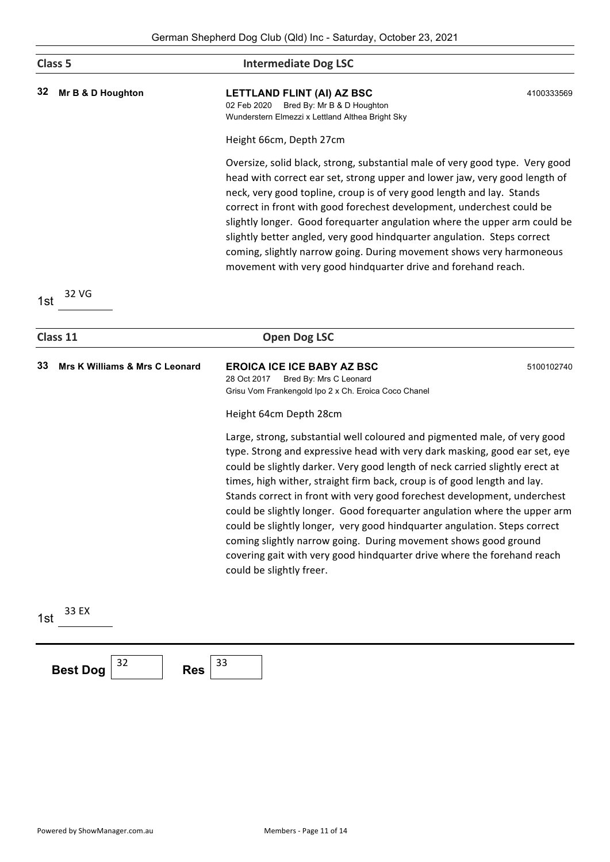|     | Class <sub>5</sub>                        | <b>Intermediate Dog LSC</b>                                                                                                                                                                                                                                                                                                                                                                                                                                                                                                                                                                                                                                                                                                         |            |
|-----|-------------------------------------------|-------------------------------------------------------------------------------------------------------------------------------------------------------------------------------------------------------------------------------------------------------------------------------------------------------------------------------------------------------------------------------------------------------------------------------------------------------------------------------------------------------------------------------------------------------------------------------------------------------------------------------------------------------------------------------------------------------------------------------------|------------|
| 32  | Mr B & D Houghton                         | LETTLAND FLINT (AI) AZ BSC<br>02 Feb 2020<br>Bred By: Mr B & D Houghton<br>Wunderstern Elmezzi x Lettland Althea Bright Sky                                                                                                                                                                                                                                                                                                                                                                                                                                                                                                                                                                                                         | 4100333569 |
|     |                                           | Height 66cm, Depth 27cm                                                                                                                                                                                                                                                                                                                                                                                                                                                                                                                                                                                                                                                                                                             |            |
|     |                                           | Oversize, solid black, strong, substantial male of very good type. Very good<br>head with correct ear set, strong upper and lower jaw, very good length of<br>neck, very good topline, croup is of very good length and lay. Stands<br>correct in front with good forechest development, underchest could be<br>slightly longer. Good forequarter angulation where the upper arm could be<br>slightly better angled, very good hindquarter angulation. Steps correct<br>coming, slightly narrow going. During movement shows very harmoneous<br>movement with very good hindquarter drive and forehand reach.                                                                                                                       |            |
| 1st | 32 VG                                     |                                                                                                                                                                                                                                                                                                                                                                                                                                                                                                                                                                                                                                                                                                                                     |            |
|     | Class 11                                  | <b>Open Dog LSC</b>                                                                                                                                                                                                                                                                                                                                                                                                                                                                                                                                                                                                                                                                                                                 |            |
| 33  | <b>Mrs K Williams &amp; Mrs C Leonard</b> | <b>EROICA ICE ICE BABY AZ BSC</b><br>28 Oct 2017<br>Bred By: Mrs C Leonard<br>Grisu Vom Frankengold Ipo 2 x Ch. Eroica Coco Chanel                                                                                                                                                                                                                                                                                                                                                                                                                                                                                                                                                                                                  | 5100102740 |
|     |                                           | Height 64cm Depth 28cm                                                                                                                                                                                                                                                                                                                                                                                                                                                                                                                                                                                                                                                                                                              |            |
|     |                                           | Large, strong, substantial well coloured and pigmented male, of very good<br>type. Strong and expressive head with very dark masking, good ear set, eye<br>could be slightly darker. Very good length of neck carried slightly erect at<br>times, high wither, straight firm back, croup is of good length and lay.<br>Stands correct in front with very good forechest development, underchest<br>could be slightly longer. Good forequarter angulation where the upper arm<br>could be slightly longer, very good hindquarter angulation. Steps correct<br>coming slightly narrow going. During movement shows good ground<br>covering gait with very good hindquarter drive where the forehand reach<br>could be slightly freer. |            |
|     |                                           |                                                                                                                                                                                                                                                                                                                                                                                                                                                                                                                                                                                                                                                                                                                                     |            |
| 1st | 33 EX                                     |                                                                                                                                                                                                                                                                                                                                                                                                                                                                                                                                                                                                                                                                                                                                     |            |

**Best Dog**  $\begin{array}{|c|c|} \hline 32 & \text{Res} & \overline{33} \\ \hline \end{array}$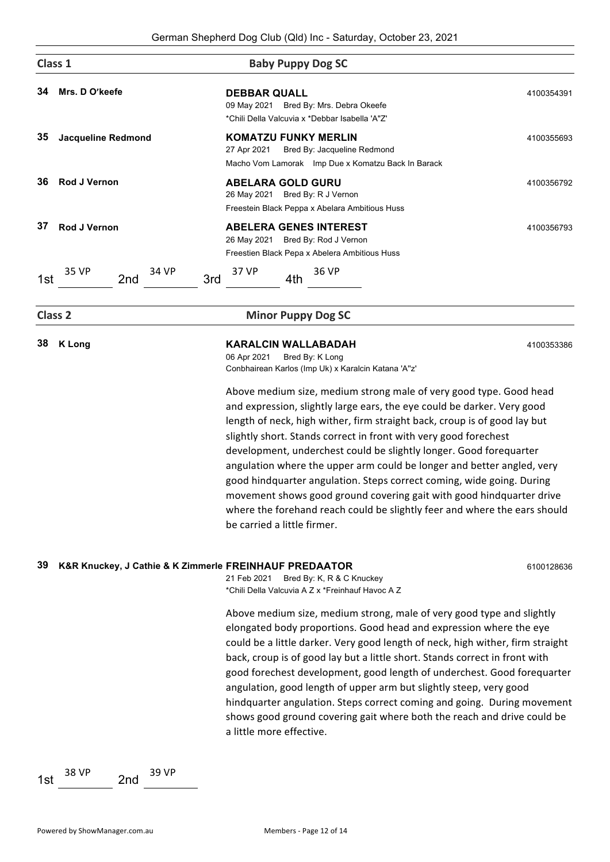|     |                                                        | German Shepherd Dog Club (Qid) inc - Saturday, October 25, 2021                                                                                                                                                                                                                                                                                                                                                                                                                                                                                                                                                                                                                                                                                                                                                                    |            |
|-----|--------------------------------------------------------|------------------------------------------------------------------------------------------------------------------------------------------------------------------------------------------------------------------------------------------------------------------------------------------------------------------------------------------------------------------------------------------------------------------------------------------------------------------------------------------------------------------------------------------------------------------------------------------------------------------------------------------------------------------------------------------------------------------------------------------------------------------------------------------------------------------------------------|------------|
|     | Class 1                                                | <b>Baby Puppy Dog SC</b>                                                                                                                                                                                                                                                                                                                                                                                                                                                                                                                                                                                                                                                                                                                                                                                                           |            |
| 34  | Mrs. D O'keefe                                         | <b>DEBBAR QUALL</b><br>09 May 2021 Bred By: Mrs. Debra Okeefe<br>*Chili Della Valcuvia x *Debbar Isabella 'A"Z'                                                                                                                                                                                                                                                                                                                                                                                                                                                                                                                                                                                                                                                                                                                    | 4100354391 |
| 35  | <b>Jacqueline Redmond</b>                              | <b>KOMATZU FUNKY MERLIN</b><br>Bred By: Jacqueline Redmond<br>27 Apr 2021<br>Macho Vom Lamorak Imp Due x Komatzu Back In Barack                                                                                                                                                                                                                                                                                                                                                                                                                                                                                                                                                                                                                                                                                                    | 4100355693 |
| 36  | Rod J Vernon                                           | <b>ABELARA GOLD GURU</b><br>26 May 2021 Bred By: R J Vernon<br>Freestein Black Peppa x Abelara Ambitious Huss                                                                                                                                                                                                                                                                                                                                                                                                                                                                                                                                                                                                                                                                                                                      | 4100356792 |
| 37  | <b>Rod J Vernon</b>                                    | <b>ABELERA GENES INTEREST</b><br>26 May 2021 Bred By: Rod J Vernon<br>Freestien Black Pepa x Abelera Ambitious Huss                                                                                                                                                                                                                                                                                                                                                                                                                                                                                                                                                                                                                                                                                                                | 4100356793 |
| 1st | 35 VP<br>34 VP<br>3rd<br>2nd                           | 37 VP<br>36 VP<br>4th                                                                                                                                                                                                                                                                                                                                                                                                                                                                                                                                                                                                                                                                                                                                                                                                              |            |
|     | Class <sub>2</sub>                                     | <b>Minor Puppy Dog SC</b>                                                                                                                                                                                                                                                                                                                                                                                                                                                                                                                                                                                                                                                                                                                                                                                                          |            |
| 38  | <b>K</b> Long                                          | <b>KARALCIN WALLABADAH</b><br>06 Apr 2021<br>Bred By: K Long<br>Conbhairean Karlos (Imp Uk) x Karalcin Katana 'A"z'<br>Above medium size, medium strong male of very good type. Good head<br>and expression, slightly large ears, the eye could be darker. Very good<br>length of neck, high wither, firm straight back, croup is of good lay but<br>slightly short. Stands correct in front with very good forechest<br>development, underchest could be slightly longer. Good forequarter<br>angulation where the upper arm could be longer and better angled, very<br>good hindquarter angulation. Steps correct coming, wide going. During<br>movement shows good ground covering gait with good hindquarter drive<br>where the forehand reach could be slightly feer and where the ears should<br>be carried a little firmer. | 4100353386 |
| 39  | K&R Knuckey, J Cathie & K Zimmerle FREINHAUF PREDAATOR | 21 Feb 2021<br>Bred By: K, R & C Knuckey<br>*Chili Della Valcuvia A Z x *Freinhauf Havoc A Z<br>Above medium size, medium strong, male of very good type and slightly<br>elongated body proportions. Good head and expression where the eye<br>could be a little darker. Very good length of neck, high wither, firm straight<br>back, croup is of good lay but a little short. Stands correct in front with<br>good forechest development, good length of underchest. Good forequarter<br>angulation, good length of upper arm but slightly steep, very good<br>hindquarter angulation. Steps correct coming and going. During movement<br>shows good ground covering gait where both the reach and drive could be<br>a little more effective.                                                                                    | 6100128636 |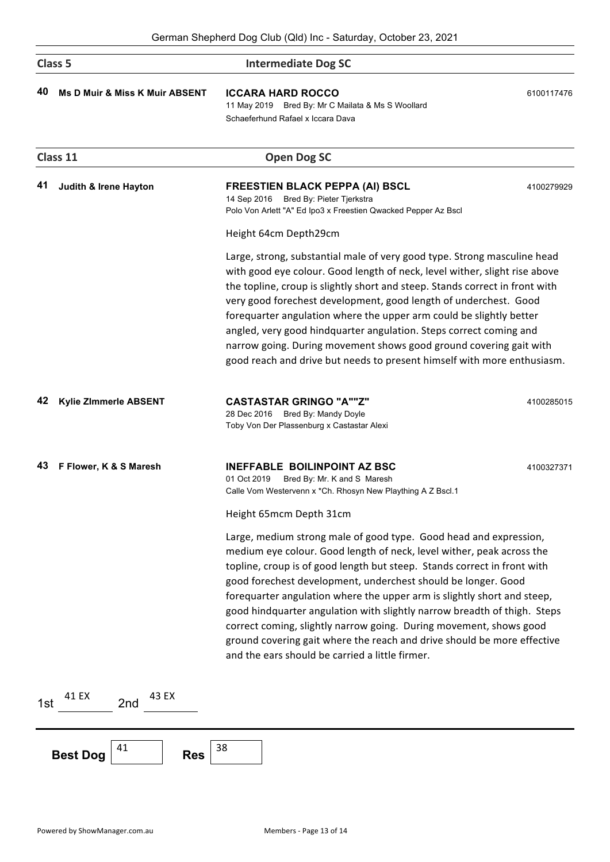|     | Class <sub>5</sub>                        | <b>Intermediate Dog SC</b>                                                                                                                                                                                                                                                                                                                                                                                                                                                                                                                                                                                                                                                    |            |
|-----|-------------------------------------------|-------------------------------------------------------------------------------------------------------------------------------------------------------------------------------------------------------------------------------------------------------------------------------------------------------------------------------------------------------------------------------------------------------------------------------------------------------------------------------------------------------------------------------------------------------------------------------------------------------------------------------------------------------------------------------|------------|
| 40  | <b>Ms D Muir &amp; Miss K Muir ABSENT</b> | <b>ICCARA HARD ROCCO</b><br>11 May 2019 Bred By: Mr C Mailata & Ms S Woollard<br>Schaeferhund Rafael x Iccara Dava                                                                                                                                                                                                                                                                                                                                                                                                                                                                                                                                                            | 6100117476 |
|     | Class 11                                  | <b>Open Dog SC</b>                                                                                                                                                                                                                                                                                                                                                                                                                                                                                                                                                                                                                                                            |            |
| 41  | Judith & Irene Hayton                     | <b>FREESTIEN BLACK PEPPA (AI) BSCL</b><br>14 Sep 2016 Bred By: Pieter Tjerkstra<br>Polo Von Arlett "A" Ed Ipo3 x Freestien Qwacked Pepper Az Bscl                                                                                                                                                                                                                                                                                                                                                                                                                                                                                                                             | 4100279929 |
|     |                                           | Height 64cm Depth29cm                                                                                                                                                                                                                                                                                                                                                                                                                                                                                                                                                                                                                                                         |            |
|     |                                           | Large, strong, substantial male of very good type. Strong masculine head<br>with good eye colour. Good length of neck, level wither, slight rise above<br>the topline, croup is slightly short and steep. Stands correct in front with<br>very good forechest development, good length of underchest. Good<br>forequarter angulation where the upper arm could be slightly better<br>angled, very good hindquarter angulation. Steps correct coming and<br>narrow going. During movement shows good ground covering gait with<br>good reach and drive but needs to present himself with more enthusiasm.                                                                      |            |
| 42  | Kylie Zimmerle ABSENT                     | <b>CASTASTAR GRINGO "A""Z"</b><br>28 Dec 2016 Bred By: Mandy Doyle<br>Toby Von Der Plassenburg x Castastar Alexi                                                                                                                                                                                                                                                                                                                                                                                                                                                                                                                                                              | 4100285015 |
| 43  | F Flower, K & S Maresh                    | <b>INEFFABLE BOILINPOINT AZ BSC</b><br>01 Oct 2019<br>Bred By: Mr. K and S Maresh<br>Calle Vom Westervenn x *Ch. Rhosyn New Plaything A Z Bscl.1                                                                                                                                                                                                                                                                                                                                                                                                                                                                                                                              | 4100327371 |
|     |                                           | Height 65mcm Depth 31cm<br>Large, medium strong male of good type. Good head and expression,<br>medium eye colour. Good length of neck, level wither, peak across the<br>topline, croup is of good length but steep. Stands correct in front with<br>good forechest development, underchest should be longer. Good<br>forequarter angulation where the upper arm is slightly short and steep,<br>good hindquarter angulation with slightly narrow breadth of thigh. Steps<br>correct coming, slightly narrow going. During movement, shows good<br>ground covering gait where the reach and drive should be more effective<br>and the ears should be carried a little firmer. |            |
| 1st | 41 EX<br>43 EX<br>2nd                     |                                                                                                                                                                                                                                                                                                                                                                                                                                                                                                                                                                                                                                                                               |            |
|     | 41<br><b>Best Dog</b><br><b>Res</b>       | 38                                                                                                                                                                                                                                                                                                                                                                                                                                                                                                                                                                                                                                                                            |            |